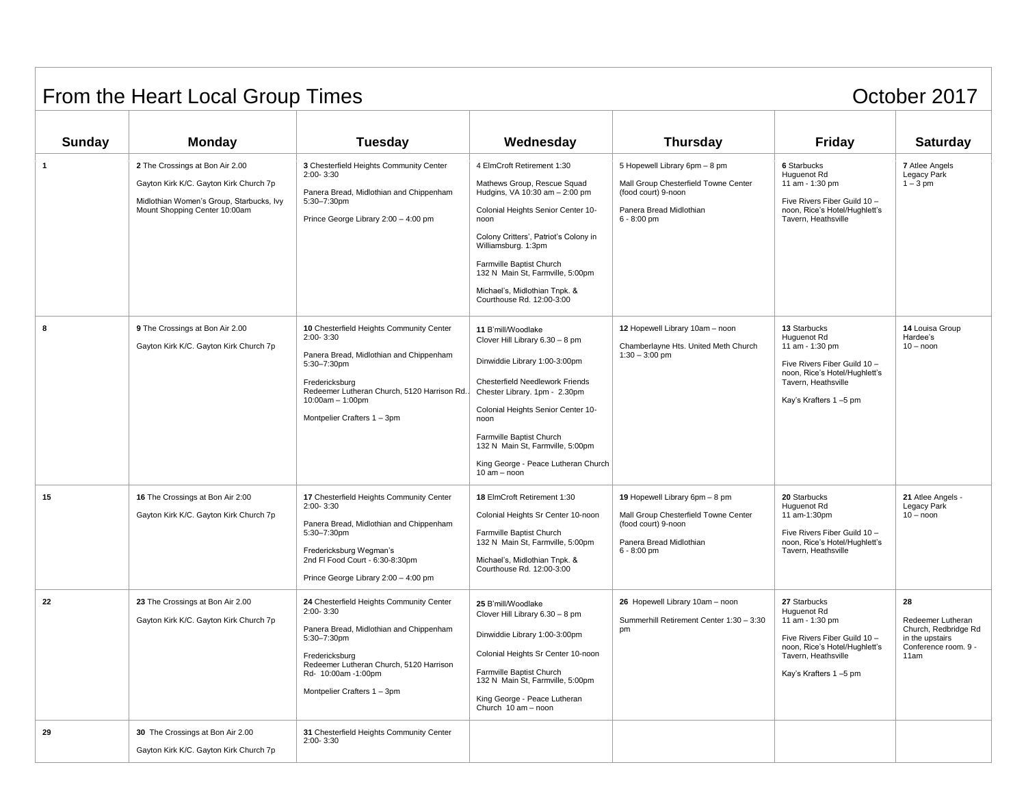## From the Heart Local Group Times **Container and Container Container Container Container Container Container Container Container Container Container Container Container Container Container Container Container Container Cont**

| <b>Sunday</b> | <b>Monday</b>                                                                                                                                          | <b>Tuesday</b>                                                                                                                                                                                                                            | Wednesday                                                                                                                                                                                                                                                                                                                                | <b>Thursday</b>                                                                                                                           | <b>Friday</b>                                                                                                                                                   | <b>Saturday</b>                                                                                    |
|---------------|--------------------------------------------------------------------------------------------------------------------------------------------------------|-------------------------------------------------------------------------------------------------------------------------------------------------------------------------------------------------------------------------------------------|------------------------------------------------------------------------------------------------------------------------------------------------------------------------------------------------------------------------------------------------------------------------------------------------------------------------------------------|-------------------------------------------------------------------------------------------------------------------------------------------|-----------------------------------------------------------------------------------------------------------------------------------------------------------------|----------------------------------------------------------------------------------------------------|
| $\mathbf{1}$  | 2 The Crossings at Bon Air 2.00<br>Gayton Kirk K/C. Gayton Kirk Church 7p<br>Midlothian Women's Group, Starbucks, Ivy<br>Mount Shopping Center 10:00am | 3 Chesterfield Heights Community Center<br>2:00-3:30<br>Panera Bread, Midlothian and Chippenham<br>5:30-7:30pm<br>Prince George Library 2:00 - 4:00 pm                                                                                    | 4 ElmCroft Retirement 1:30<br>Mathews Group, Rescue Squad<br>Hudgins, VA 10:30 am - 2:00 pm<br>Colonial Heights Senior Center 10-<br>noon<br>Colony Critters', Patriot's Colony in<br>Williamsburg. 1:3pm<br>Farmville Baptist Church<br>132 N Main St, Farmville, 5:00pm<br>Michael's, Midlothian Tnpk. &<br>Courthouse Rd. 12:00-3:00  | 5 Hopewell Library 6pm - 8 pm<br>Mall Group Chesterfield Towne Center<br>(food court) 9-noon<br>Panera Bread Midlothian<br>$6 - 8:00$ pm  | <b>6 Starbucks</b><br>Huguenot Rd<br>11 am - 1:30 pm<br>Five Rivers Fiber Guild 10 -<br>noon, Rice's Hotel/Hughlett's<br>Tavern, Heathsville                    | 7 Atlee Angels<br>Legacy Park<br>$1 - 3$ pm                                                        |
| 8             | 9 The Crossings at Bon Air 2.00<br>Gayton Kirk K/C. Gayton Kirk Church 7p                                                                              | 10 Chesterfield Heights Community Center<br>$2:00 - 3:30$<br>Panera Bread, Midlothian and Chippenham<br>5:30-7:30pm<br>Fredericksburg<br>Redeemer Lutheran Church, 5120 Harrison Rd.<br>$10:00am - 1:00pm$<br>Montpelier Crafters 1 - 3pm | 11 B'mill/Woodlake<br>Clover Hill Library 6.30 - 8 pm<br>Dinwiddie Library 1:00-3:00pm<br><b>Chesterfield Needlework Friends</b><br>Chester Library. 1pm - 2.30pm<br>Colonial Heights Senior Center 10-<br>noon<br>Farmville Baptist Church<br>132 N Main St, Farmville, 5:00pm<br>King George - Peace Lutheran Church<br>$10 am - noon$ | 12 Hopewell Library 10am - noon<br>Chamberlayne Hts. United Meth Church<br>$1:30 - 3:00$ pm                                               | 13 Starbucks<br>Huguenot Rd<br>11 am - 1:30 pm<br>Five Rivers Fiber Guild 10 -<br>noon, Rice's Hotel/Hughlett's<br>Tavern, Heathsville<br>Kay's Krafters 1-5 pm | 14 Louisa Group<br>Hardee's<br>$10 -$ noon                                                         |
| 15            | 16 The Crossings at Bon Air 2:00<br>Gayton Kirk K/C. Gayton Kirk Church 7p                                                                             | 17 Chesterfield Heights Community Center<br>2:00-3:30<br>Panera Bread, Midlothian and Chippenham<br>5:30-7:30pm<br>Fredericksburg Wegman's<br>2nd FI Food Court - 6:30-8:30pm<br>Prince George Library 2:00 - 4:00 pm                     | 18 ElmCroft Retirement 1:30<br>Colonial Heights Sr Center 10-noon<br>Farmville Baptist Church<br>132 N Main St, Farmville, 5:00pm<br>Michael's, Midlothian Tnpk. &<br>Courthouse Rd. 12:00-3:00                                                                                                                                          | 19 Hopewell Library 6pm - 8 pm<br>Mall Group Chesterfield Towne Center<br>(food court) 9-noon<br>Panera Bread Midlothian<br>$6 - 8:00$ pm | 20 Starbucks<br>Huguenot Rd<br>11 am-1:30pm<br>Five Rivers Fiber Guild 10 -<br>noon, Rice's Hotel/Hughlett's<br>Tavern. Heathsville                             | 21 Atlee Angels -<br>Legacy Park<br>$10 - n$ oon                                                   |
| 22            | 23 The Crossings at Bon Air 2.00<br>Gayton Kirk K/C. Gayton Kirk Church 7p                                                                             | 24 Chesterfield Heights Community Center<br>$2:00 - 3:30$<br>Panera Bread, Midlothian and Chippenham<br>5:30-7:30pm<br>Fredericksburg<br>Redeemer Lutheran Church, 5120 Harrison<br>Rd- 10:00am -1:00pm<br>Montpelier Crafters 1 - 3pm    | 25 B'mill/Woodlake<br>Clover Hill Library 6.30 - 8 pm<br>Dinwiddie Library 1:00-3:00pm<br>Colonial Heights Sr Center 10-noon<br>Farmville Baptist Church<br>132 N Main St, Farmville, 5:00pm<br>King George - Peace Lutheran<br>Church 10 am - noon                                                                                      | 26 Hopewell Library 10am - noon<br>Summerhill Retirement Center 1:30 - 3:30<br>pm                                                         | 27 Starbucks<br>Huguenot Rd<br>11 am - 1:30 pm<br>Five Rivers Fiber Guild 10 -<br>noon, Rice's Hotel/Hughlett's<br>Tavern, Heathsville<br>Kay's Krafters 1-5 pm | 28<br>Redeemer Lutheran<br>Church, Redbridge Rd<br>in the upstairs<br>Conference room. 9 -<br>11am |
| 29            | 30 The Crossings at Bon Air 2.00<br>Gayton Kirk K/C. Gayton Kirk Church 7p                                                                             | 31 Chesterfield Heights Community Center<br>$2:00 - 3:30$                                                                                                                                                                                 |                                                                                                                                                                                                                                                                                                                                          |                                                                                                                                           |                                                                                                                                                                 |                                                                                                    |